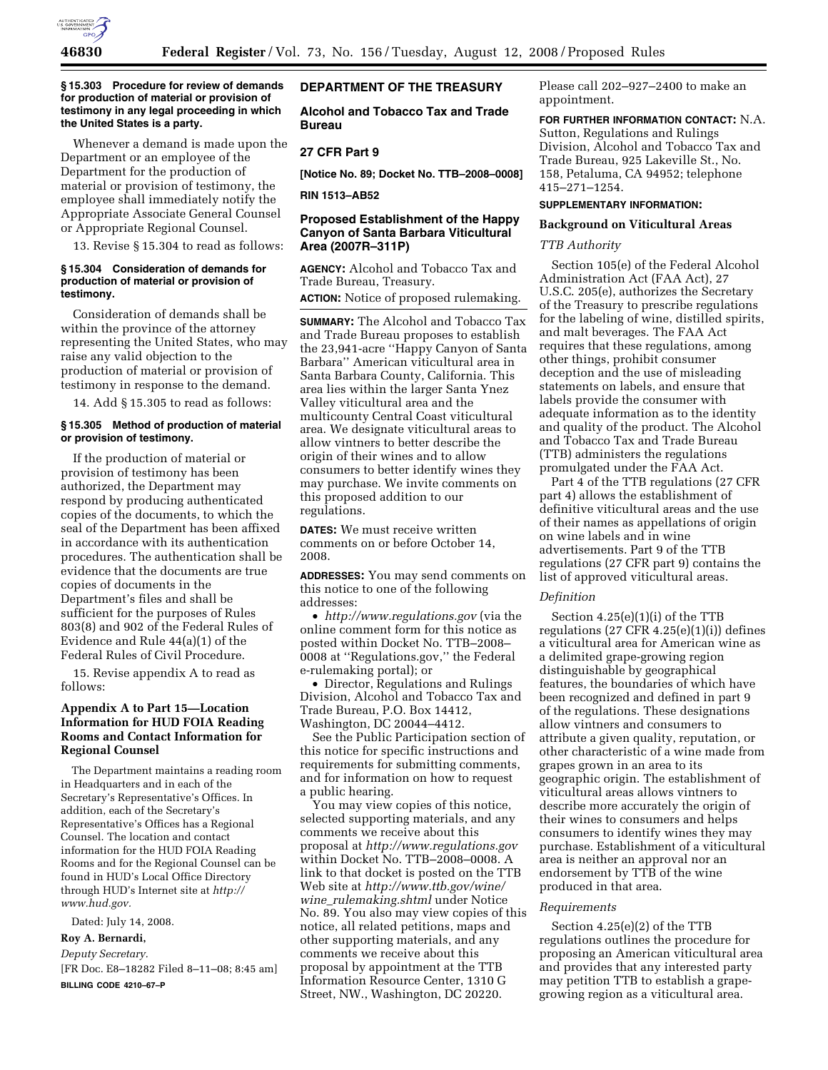

### **§ 15.303 Procedure for review of demands for production of material or provision of testimony in any legal proceeding in which the United States is a party.**

Whenever a demand is made upon the Department or an employee of the Department for the production of material or provision of testimony, the employee shall immediately notify the Appropriate Associate General Counsel or Appropriate Regional Counsel.

13. Revise § 15.304 to read as follows:

## **§ 15.304 Consideration of demands for production of material or provision of testimony.**

Consideration of demands shall be within the province of the attorney representing the United States, who may raise any valid objection to the production of material or provision of testimony in response to the demand.

14. Add § 15.305 to read as follows:

### **§ 15.305 Method of production of material or provision of testimony.**

If the production of material or provision of testimony has been authorized, the Department may respond by producing authenticated copies of the documents, to which the seal of the Department has been affixed in accordance with its authentication procedures. The authentication shall be evidence that the documents are true copies of documents in the Department's files and shall be sufficient for the purposes of Rules 803(8) and 902 of the Federal Rules of Evidence and Rule 44(a)(1) of the Federal Rules of Civil Procedure.

15. Revise appendix A to read as follows:

# **Appendix A to Part 15—Location Information for HUD FOIA Reading Rooms and Contact Information for Regional Counsel**

The Department maintains a reading room in Headquarters and in each of the Secretary's Representative's Offices. In addition, each of the Secretary's Representative's Offices has a Regional Counsel. The location and contact information for the HUD FOIA Reading Rooms and for the Regional Counsel can be found in HUD's Local Office Directory through HUD's Internet site at *http:// www.hud.gov.* 

Dated: July 14, 2008.

# **Roy A. Bernardi,**

*Deputy Secretary.* 

[FR Doc. E8–18282 Filed 8–11–08; 8:45 am] **BILLING CODE 4210–67–P** 

## **DEPARTMENT OF THE TREASURY**

**Alcohol and Tobacco Tax and Trade Bureau** 

# **27 CFR Part 9**

**[Notice No. 89; Docket No. TTB–2008–0008]** 

**RIN 1513–AB52** 

## **Proposed Establishment of the Happy Canyon of Santa Barbara Viticultural Area (2007R–311P)**

**AGENCY:** Alcohol and Tobacco Tax and Trade Bureau, Treasury.

**ACTION:** Notice of proposed rulemaking.

**SUMMARY:** The Alcohol and Tobacco Tax and Trade Bureau proposes to establish the 23,941-acre ''Happy Canyon of Santa Barbara'' American viticultural area in Santa Barbara County, California. This area lies within the larger Santa Ynez Valley viticultural area and the multicounty Central Coast viticultural area. We designate viticultural areas to allow vintners to better describe the origin of their wines and to allow consumers to better identify wines they may purchase. We invite comments on this proposed addition to our regulations.

**DATES:** We must receive written comments on or before October 14, 2008.

**ADDRESSES:** You may send comments on this notice to one of the following addresses:

• *http://www.regulations.gov* (via the online comment form for this notice as posted within Docket No. TTB–2008– 0008 at ''Regulations.gov,'' the Federal e-rulemaking portal); or

• Director, Regulations and Rulings Division, Alcohol and Tobacco Tax and Trade Bureau, P.O. Box 14412, Washington, DC 20044–4412.

See the Public Participation section of this notice for specific instructions and requirements for submitting comments, and for information on how to request a public hearing.

You may view copies of this notice, selected supporting materials, and any comments we receive about this proposal at *http://www.regulations.gov*  within Docket No. TTB–2008–0008. A link to that docket is posted on the TTB Web site at *http://www.ttb.gov/wine/ wine*\_*rulemaking.shtml* under Notice No. 89. You also may view copies of this notice, all related petitions, maps and other supporting materials, and any comments we receive about this proposal by appointment at the TTB Information Resource Center, 1310 G Street, NW., Washington, DC 20220.

Please call 202–927–2400 to make an appointment.

**FOR FURTHER INFORMATION CONTACT:** N.A. Sutton, Regulations and Rulings Division, Alcohol and Tobacco Tax and Trade Bureau, 925 Lakeville St., No. 158, Petaluma, CA 94952; telephone 415–271–1254.

## **SUPPLEMENTARY INFORMATION:**

### **Background on Viticultural Areas**

## *TTB Authority*

Section 105(e) of the Federal Alcohol Administration Act (FAA Act), 27 U.S.C. 205(e), authorizes the Secretary of the Treasury to prescribe regulations for the labeling of wine, distilled spirits, and malt beverages. The FAA Act requires that these regulations, among other things, prohibit consumer deception and the use of misleading statements on labels, and ensure that labels provide the consumer with adequate information as to the identity and quality of the product. The Alcohol and Tobacco Tax and Trade Bureau (TTB) administers the regulations promulgated under the FAA Act.

Part 4 of the TTB regulations (27 CFR part 4) allows the establishment of definitive viticultural areas and the use of their names as appellations of origin on wine labels and in wine advertisements. Part 9 of the TTB regulations (27 CFR part 9) contains the list of approved viticultural areas.

#### *Definition*

Section 4.25(e)(1)(i) of the TTB regulations  $(27 \text{ CFR } 4.25(e)(1)(i))$  defines a viticultural area for American wine as a delimited grape-growing region distinguishable by geographical features, the boundaries of which have been recognized and defined in part 9 of the regulations. These designations allow vintners and consumers to attribute a given quality, reputation, or other characteristic of a wine made from grapes grown in an area to its geographic origin. The establishment of viticultural areas allows vintners to describe more accurately the origin of their wines to consumers and helps consumers to identify wines they may purchase. Establishment of a viticultural area is neither an approval nor an endorsement by TTB of the wine produced in that area.

### *Requirements*

Section 4.25(e)(2) of the TTB regulations outlines the procedure for proposing an American viticultural area and provides that any interested party may petition TTB to establish a grapegrowing region as a viticultural area.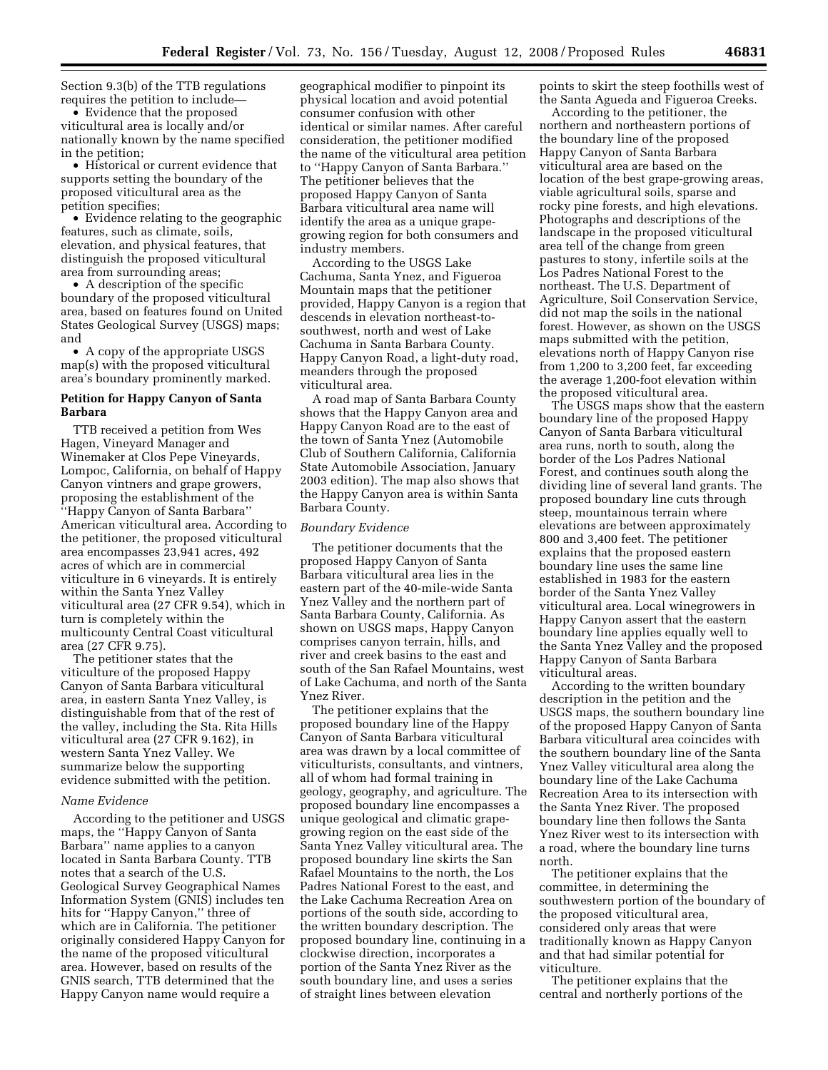Section 9.3(b) of the TTB regulations requires the petition to include—

• Evidence that the proposed viticultural area is locally and/or nationally known by the name specified in the petition;

• Historical or current evidence that supports setting the boundary of the proposed viticultural area as the petition specifies;

• Evidence relating to the geographic features, such as climate, soils, elevation, and physical features, that distinguish the proposed viticultural area from surrounding areas;

• A description of the specific boundary of the proposed viticultural area, based on features found on United States Geological Survey (USGS) maps; and

• A copy of the appropriate USGS map(s) with the proposed viticultural area's boundary prominently marked.

## **Petition for Happy Canyon of Santa Barbara**

TTB received a petition from Wes Hagen, Vineyard Manager and Winemaker at Clos Pepe Vineyards, Lompoc, California, on behalf of Happy Canyon vintners and grape growers, proposing the establishment of the ''Happy Canyon of Santa Barbara'' American viticultural area. According to the petitioner, the proposed viticultural area encompasses 23,941 acres, 492 acres of which are in commercial viticulture in 6 vineyards. It is entirely within the Santa Ynez Valley viticultural area (27 CFR 9.54), which in turn is completely within the multicounty Central Coast viticultural area (27 CFR 9.75).

The petitioner states that the viticulture of the proposed Happy Canyon of Santa Barbara viticultural area, in eastern Santa Ynez Valley, is distinguishable from that of the rest of the valley, including the Sta. Rita Hills viticultural area (27 CFR 9.162), in western Santa Ynez Valley. We summarize below the supporting evidence submitted with the petition.

#### *Name Evidence*

According to the petitioner and USGS maps, the ''Happy Canyon of Santa Barbara'' name applies to a canyon located in Santa Barbara County. TTB notes that a search of the U.S. Geological Survey Geographical Names Information System (GNIS) includes ten hits for ''Happy Canyon,'' three of which are in California. The petitioner originally considered Happy Canyon for the name of the proposed viticultural area. However, based on results of the GNIS search, TTB determined that the Happy Canyon name would require a

geographical modifier to pinpoint its physical location and avoid potential consumer confusion with other identical or similar names. After careful consideration, the petitioner modified the name of the viticultural area petition to ''Happy Canyon of Santa Barbara.'' The petitioner believes that the proposed Happy Canyon of Santa Barbara viticultural area name will identify the area as a unique grapegrowing region for both consumers and industry members.

According to the USGS Lake Cachuma, Santa Ynez, and Figueroa Mountain maps that the petitioner provided, Happy Canyon is a region that descends in elevation northeast-tosouthwest, north and west of Lake Cachuma in Santa Barbara County. Happy Canyon Road, a light-duty road, meanders through the proposed viticultural area.

A road map of Santa Barbara County shows that the Happy Canyon area and Happy Canyon Road are to the east of the town of Santa Ynez (Automobile Club of Southern California, California State Automobile Association, January 2003 edition). The map also shows that the Happy Canyon area is within Santa Barbara County.

### *Boundary Evidence*

The petitioner documents that the proposed Happy Canyon of Santa Barbara viticultural area lies in the eastern part of the 40-mile-wide Santa Ynez Valley and the northern part of Santa Barbara County, California. As shown on USGS maps, Happy Canyon comprises canyon terrain, hills, and river and creek basins to the east and south of the San Rafael Mountains, west of Lake Cachuma, and north of the Santa Ynez River.

The petitioner explains that the proposed boundary line of the Happy Canyon of Santa Barbara viticultural area was drawn by a local committee of viticulturists, consultants, and vintners, all of whom had formal training in geology, geography, and agriculture. The proposed boundary line encompasses a unique geological and climatic grapegrowing region on the east side of the Santa Ynez Valley viticultural area. The proposed boundary line skirts the San Rafael Mountains to the north, the Los Padres National Forest to the east, and the Lake Cachuma Recreation Area on portions of the south side, according to the written boundary description. The proposed boundary line, continuing in a clockwise direction, incorporates a portion of the Santa Ynez River as the south boundary line, and uses a series of straight lines between elevation

points to skirt the steep foothills west of the Santa Agueda and Figueroa Creeks.

According to the petitioner, the northern and northeastern portions of the boundary line of the proposed Happy Canyon of Santa Barbara viticultural area are based on the location of the best grape-growing areas, viable agricultural soils, sparse and rocky pine forests, and high elevations. Photographs and descriptions of the landscape in the proposed viticultural area tell of the change from green pastures to stony, infertile soils at the Los Padres National Forest to the northeast. The U.S. Department of Agriculture, Soil Conservation Service, did not map the soils in the national forest. However, as shown on the USGS maps submitted with the petition, elevations north of Happy Canyon rise from 1,200 to 3,200 feet, far exceeding the average 1,200-foot elevation within the proposed viticultural area.

The USGS maps show that the eastern boundary line of the proposed Happy Canyon of Santa Barbara viticultural area runs, north to south, along the border of the Los Padres National Forest, and continues south along the dividing line of several land grants. The proposed boundary line cuts through steep, mountainous terrain where elevations are between approximately 800 and 3,400 feet. The petitioner explains that the proposed eastern boundary line uses the same line established in 1983 for the eastern border of the Santa Ynez Valley viticultural area. Local winegrowers in Happy Canyon assert that the eastern boundary line applies equally well to the Santa Ynez Valley and the proposed Happy Canyon of Santa Barbara viticultural areas.

According to the written boundary description in the petition and the USGS maps, the southern boundary line of the proposed Happy Canyon of Santa Barbara viticultural area coincides with the southern boundary line of the Santa Ynez Valley viticultural area along the boundary line of the Lake Cachuma Recreation Area to its intersection with the Santa Ynez River. The proposed boundary line then follows the Santa Ynez River west to its intersection with a road, where the boundary line turns north.

The petitioner explains that the committee, in determining the southwestern portion of the boundary of the proposed viticultural area, considered only areas that were traditionally known as Happy Canyon and that had similar potential for viticulture.

The petitioner explains that the central and northerly portions of the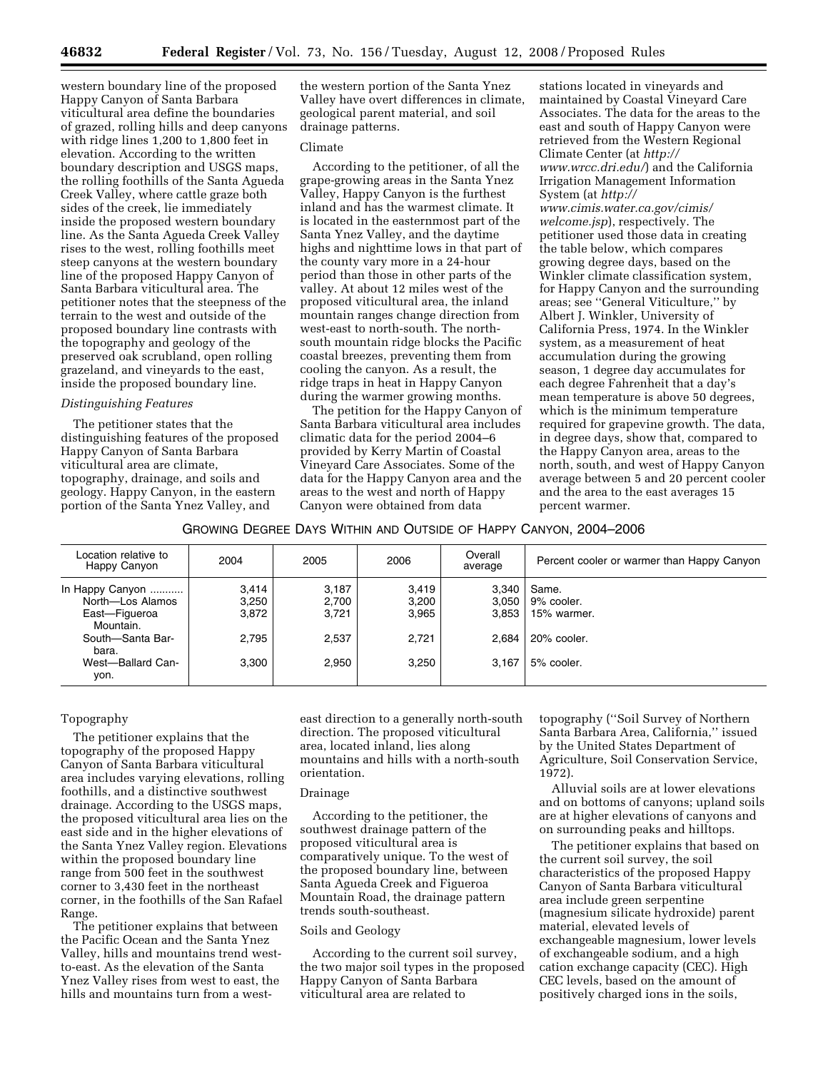western boundary line of the proposed Happy Canyon of Santa Barbara viticultural area define the boundaries of grazed, rolling hills and deep canyons with ridge lines 1,200 to 1,800 feet in elevation. According to the written boundary description and USGS maps, the rolling foothills of the Santa Agueda Creek Valley, where cattle graze both sides of the creek, lie immediately inside the proposed western boundary line. As the Santa Agueda Creek Valley rises to the west, rolling foothills meet steep canyons at the western boundary line of the proposed Happy Canyon of Santa Barbara viticultural area. The petitioner notes that the steepness of the terrain to the west and outside of the proposed boundary line contrasts with the topography and geology of the preserved oak scrubland, open rolling grazeland, and vineyards to the east, inside the proposed boundary line.

# *Distinguishing Features*

The petitioner states that the distinguishing features of the proposed Happy Canyon of Santa Barbara viticultural area are climate, topography, drainage, and soils and geology. Happy Canyon, in the eastern portion of the Santa Ynez Valley, and

the western portion of the Santa Ynez Valley have overt differences in climate, geological parent material, and soil drainage patterns.

### Climate

According to the petitioner, of all the grape-growing areas in the Santa Ynez Valley, Happy Canyon is the furthest inland and has the warmest climate. It is located in the easternmost part of the Santa Ynez Valley, and the daytime highs and nighttime lows in that part of the county vary more in a 24-hour period than those in other parts of the valley. At about 12 miles west of the proposed viticultural area, the inland mountain ranges change direction from west-east to north-south. The northsouth mountain ridge blocks the Pacific coastal breezes, preventing them from cooling the canyon. As a result, the ridge traps in heat in Happy Canyon during the warmer growing months.

The petition for the Happy Canyon of Santa Barbara viticultural area includes climatic data for the period 2004–6 provided by Kerry Martin of Coastal Vineyard Care Associates. Some of the data for the Happy Canyon area and the areas to the west and north of Happy Canyon were obtained from data

stations located in vineyards and maintained by Coastal Vineyard Care Associates. The data for the areas to the east and south of Happy Canyon were retrieved from the Western Regional Climate Center (at *http:// www.wrcc.dri.edu/*) and the California Irrigation Management Information System (at *http:// www.cimis.water.ca.gov/cimis/ welcome.jsp*), respectively. The petitioner used those data in creating the table below, which compares growing degree days, based on the Winkler climate classification system, for Happy Canyon and the surrounding areas; see ''General Viticulture,'' by Albert J. Winkler, University of California Press, 1974. In the Winkler system, as a measurement of heat accumulation during the growing season, 1 degree day accumulates for each degree Fahrenheit that a day's mean temperature is above 50 degrees, which is the minimum temperature required for grapevine growth. The data, in degree days, show that, compared to the Happy Canyon area, areas to the north, south, and west of Happy Canyon average between 5 and 20 percent cooler and the area to the east averages 15 percent warmer.

## GROWING DEGREE DAYS WITHIN AND OUTSIDE OF HAPPY CANYON, 2004–2006

| Location relative to<br>Happy Canyon                                                                                        | 2004                                      | 2005                                      | 2006                                      | Overall<br>average                        | Percent cooler or warmer than Happy Canyon                      |
|-----------------------------------------------------------------------------------------------------------------------------|-------------------------------------------|-------------------------------------------|-------------------------------------------|-------------------------------------------|-----------------------------------------------------------------|
| In Happy Canyon<br>North-Los Alamos<br>East-Figueroa<br>Mountain.<br>South-Santa Bar-<br>bara.<br>West-Ballard Can-<br>yon. | 3.414<br>3.250<br>3.872<br>2.795<br>3.300 | 3,187<br>2,700<br>3,721<br>2.537<br>2.950 | 3,419<br>3,200<br>3,965<br>2,721<br>3,250 | 3.340<br>3.050<br>3.853<br>2.684<br>3.167 | Same.<br>9% cooler.<br>15% warmer.<br>20% cooler.<br>5% cooler. |

## Topography

The petitioner explains that the topography of the proposed Happy Canyon of Santa Barbara viticultural area includes varying elevations, rolling foothills, and a distinctive southwest drainage. According to the USGS maps, the proposed viticultural area lies on the east side and in the higher elevations of the Santa Ynez Valley region. Elevations within the proposed boundary line range from 500 feet in the southwest corner to 3,430 feet in the northeast corner, in the foothills of the San Rafael Range.

The petitioner explains that between the Pacific Ocean and the Santa Ynez Valley, hills and mountains trend westto-east. As the elevation of the Santa Ynez Valley rises from west to east, the hills and mountains turn from a westeast direction to a generally north-south direction. The proposed viticultural area, located inland, lies along mountains and hills with a north-south orientation.

## Drainage

According to the petitioner, the southwest drainage pattern of the proposed viticultural area is comparatively unique. To the west of the proposed boundary line, between Santa Agueda Creek and Figueroa Mountain Road, the drainage pattern trends south-southeast.

### Soils and Geology

According to the current soil survey, the two major soil types in the proposed Happy Canyon of Santa Barbara viticultural area are related to

topography (''Soil Survey of Northern Santa Barbara Area, California,'' issued by the United States Department of Agriculture, Soil Conservation Service, 1972).

Alluvial soils are at lower elevations and on bottoms of canyons; upland soils are at higher elevations of canyons and on surrounding peaks and hilltops.

The petitioner explains that based on the current soil survey, the soil characteristics of the proposed Happy Canyon of Santa Barbara viticultural area include green serpentine (magnesium silicate hydroxide) parent material, elevated levels of exchangeable magnesium, lower levels of exchangeable sodium, and a high cation exchange capacity (CEC). High CEC levels, based on the amount of positively charged ions in the soils,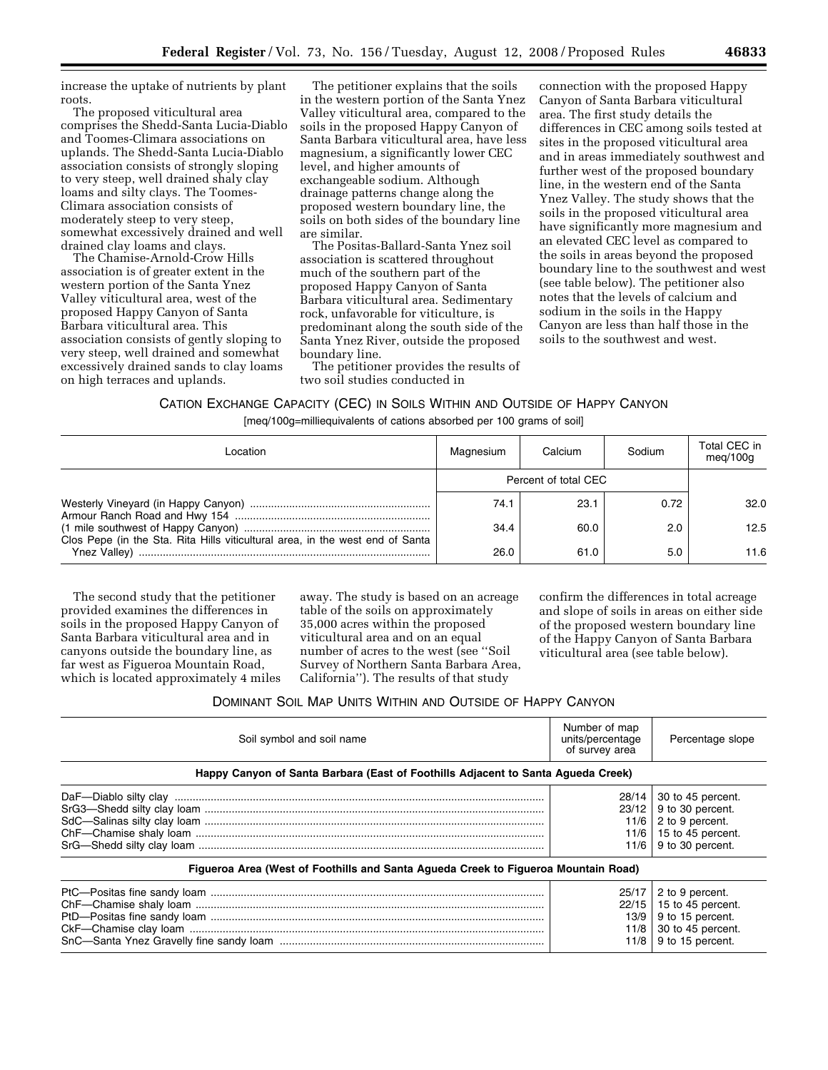increase the uptake of nutrients by plant roots.

The proposed viticultural area comprises the Shedd-Santa Lucia-Diablo and Toomes-Climara associations on uplands. The Shedd-Santa Lucia-Diablo association consists of strongly sloping to very steep, well drained shaly clay loams and silty clays. The Toomes-Climara association consists of moderately steep to very steep, somewhat excessively drained and well drained clay loams and clays.

The Chamise-Arnold-Crow Hills association is of greater extent in the western portion of the Santa Ynez Valley viticultural area, west of the proposed Happy Canyon of Santa Barbara viticultural area. This association consists of gently sloping to very steep, well drained and somewhat excessively drained sands to clay loams on high terraces and uplands.

The petitioner explains that the soils in the western portion of the Santa Ynez Valley viticultural area, compared to the soils in the proposed Happy Canyon of Santa Barbara viticultural area, have less magnesium, a significantly lower CEC level, and higher amounts of exchangeable sodium. Although drainage patterns change along the proposed western boundary line, the soils on both sides of the boundary line are similar.

The Positas-Ballard-Santa Ynez soil association is scattered throughout much of the southern part of the proposed Happy Canyon of Santa Barbara viticultural area. Sedimentary rock, unfavorable for viticulture, is predominant along the south side of the Santa Ynez River, outside the proposed boundary line.

The petitioner provides the results of two soil studies conducted in

connection with the proposed Happy Canyon of Santa Barbara viticultural area. The first study details the differences in CEC among soils tested at sites in the proposed viticultural area and in areas immediately southwest and further west of the proposed boundary line, in the western end of the Santa Ynez Valley. The study shows that the soils in the proposed viticultural area have significantly more magnesium and an elevated CEC level as compared to the soils in areas beyond the proposed boundary line to the southwest and west (see table below). The petitioner also notes that the levels of calcium and sodium in the soils in the Happy Canyon are less than half those in the soils to the southwest and west.

# CATION EXCHANGE CAPACITY (CEC) IN SOILS WITHIN AND OUTSIDE OF HAPPY CANYON [meq/100g=milliequivalents of cations absorbed per 100 grams of soil]

| Location                                                                      | Magnesium            | Calcium | Sodium | Total CEC in<br>meq/100q |
|-------------------------------------------------------------------------------|----------------------|---------|--------|--------------------------|
|                                                                               | Percent of total CEC |         |        |                          |
|                                                                               | 74.1                 | 23.1    | 0.72   | 32.0                     |
| Clos Pepe (in the Sta. Rita Hills viticultural area, in the west end of Santa | 34.4                 | 60.0    | 2.0    | 12.5                     |
|                                                                               | 26.0                 | 61.0    | 5.0    | 11.6                     |

The second study that the petitioner provided examines the differences in soils in the proposed Happy Canyon of Santa Barbara viticultural area and in canyons outside the boundary line, as far west as Figueroa Mountain Road, which is located approximately 4 miles

away. The study is based on an acreage table of the soils on approximately 35,000 acres within the proposed viticultural area and on an equal number of acres to the west (see ''Soil Survey of Northern Santa Barbara Area, California''). The results of that study

confirm the differences in total acreage and slope of soils in areas on either side of the proposed western boundary line of the Happy Canyon of Santa Barbara viticultural area (see table below).

## DOMINANT SOIL MAP UNITS WITHIN AND OUTSIDE OF HAPPY CANYON

| Soil symbol and soil name                                                          | Number of map<br>units/percentage<br>of survey area | Percentage slope                                                                                                                   |  |  |  |  |  |  |  |
|------------------------------------------------------------------------------------|-----------------------------------------------------|------------------------------------------------------------------------------------------------------------------------------------|--|--|--|--|--|--|--|
| Happy Canyon of Santa Barbara (East of Foothills Adjacent to Santa Agueda Creek)   |                                                     |                                                                                                                                    |  |  |  |  |  |  |  |
|                                                                                    | 28/14 L                                             | 30 to 45 percent.<br>$23/12$ 9 to 30 percent.<br>$11/6$   2 to 9 percent.<br>11/6   15 to 45 percent.<br>$11/6$   9 to 30 percent. |  |  |  |  |  |  |  |
| Figueroa Area (West of Foothills and Santa Agueda Creek to Figueroa Mountain Road) |                                                     |                                                                                                                                    |  |  |  |  |  |  |  |
|                                                                                    | 25/17<br>13/9                                       | 2 to 9 percent.<br>$22/15$   15 to 45 percent.<br>9 to 15 percent.<br>11/8 $\vert$ 30 to 45 percent.<br>$11/8$   9 to 15 percent.  |  |  |  |  |  |  |  |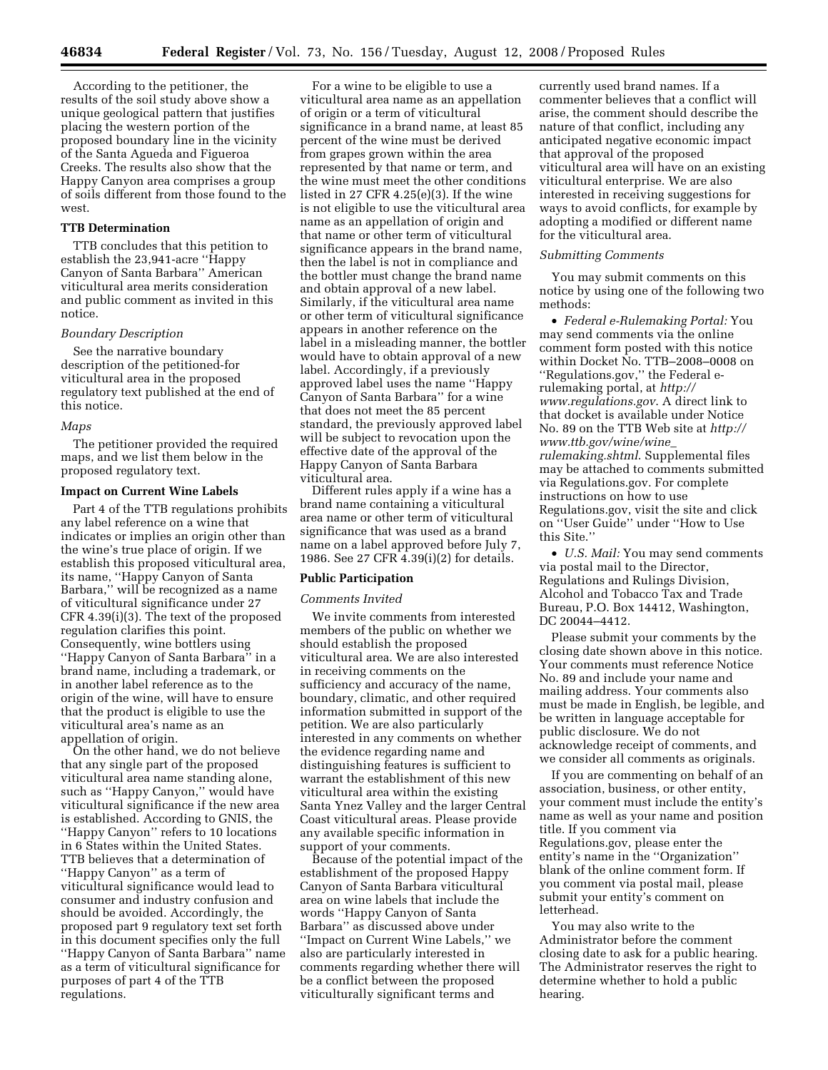According to the petitioner, the results of the soil study above show a unique geological pattern that justifies placing the western portion of the proposed boundary line in the vicinity of the Santa Agueda and Figueroa Creeks. The results also show that the Happy Canyon area comprises a group of soils different from those found to the west.

## **TTB Determination**

TTB concludes that this petition to establish the 23,941-acre ''Happy Canyon of Santa Barbara'' American viticultural area merits consideration and public comment as invited in this notice.

### *Boundary Description*

See the narrative boundary description of the petitioned-for viticultural area in the proposed regulatory text published at the end of this notice.

#### *Maps*

The petitioner provided the required maps, and we list them below in the proposed regulatory text.

## **Impact on Current Wine Labels**

Part 4 of the TTB regulations prohibits any label reference on a wine that indicates or implies an origin other than the wine's true place of origin. If we establish this proposed viticultural area, its name, ''Happy Canyon of Santa Barbara,'' will be recognized as a name of viticultural significance under 27 CFR 4.39(i)(3). The text of the proposed regulation clarifies this point. Consequently, wine bottlers using ''Happy Canyon of Santa Barbara'' in a brand name, including a trademark, or in another label reference as to the origin of the wine, will have to ensure that the product is eligible to use the viticultural area's name as an appellation of origin.

On the other hand, we do not believe that any single part of the proposed viticultural area name standing alone, such as ''Happy Canyon,'' would have viticultural significance if the new area is established. According to GNIS, the ''Happy Canyon'' refers to 10 locations in 6 States within the United States. TTB believes that a determination of ''Happy Canyon'' as a term of viticultural significance would lead to consumer and industry confusion and should be avoided. Accordingly, the proposed part 9 regulatory text set forth in this document specifies only the full ''Happy Canyon of Santa Barbara'' name as a term of viticultural significance for purposes of part 4 of the TTB regulations.

For a wine to be eligible to use a viticultural area name as an appellation of origin or a term of viticultural significance in a brand name, at least 85 percent of the wine must be derived from grapes grown within the area represented by that name or term, and the wine must meet the other conditions listed in 27 CFR 4.25(e)(3). If the wine is not eligible to use the viticultural area name as an appellation of origin and that name or other term of viticultural significance appears in the brand name, then the label is not in compliance and the bottler must change the brand name and obtain approval of a new label. Similarly, if the viticultural area name or other term of viticultural significance appears in another reference on the label in a misleading manner, the bottler would have to obtain approval of a new label. Accordingly, if a previously approved label uses the name ''Happy Canyon of Santa Barbara'' for a wine that does not meet the 85 percent standard, the previously approved label will be subject to revocation upon the effective date of the approval of the Happy Canyon of Santa Barbara viticultural area.

Different rules apply if a wine has a brand name containing a viticultural area name or other term of viticultural significance that was used as a brand name on a label approved before July 7, 1986. See 27 CFR 4.39(i)(2) for details.

### **Public Participation**

#### *Comments Invited*

We invite comments from interested members of the public on whether we should establish the proposed viticultural area. We are also interested in receiving comments on the sufficiency and accuracy of the name, boundary, climatic, and other required information submitted in support of the petition. We are also particularly interested in any comments on whether the evidence regarding name and distinguishing features is sufficient to warrant the establishment of this new viticultural area within the existing Santa Ynez Valley and the larger Central Coast viticultural areas. Please provide any available specific information in support of your comments.

Because of the potential impact of the establishment of the proposed Happy Canyon of Santa Barbara viticultural area on wine labels that include the words ''Happy Canyon of Santa Barbara'' as discussed above under ''Impact on Current Wine Labels,'' we also are particularly interested in comments regarding whether there will be a conflict between the proposed viticulturally significant terms and

currently used brand names. If a commenter believes that a conflict will arise, the comment should describe the nature of that conflict, including any anticipated negative economic impact that approval of the proposed viticultural area will have on an existing viticultural enterprise. We are also interested in receiving suggestions for ways to avoid conflicts, for example by adopting a modified or different name for the viticultural area.

#### *Submitting Comments*

You may submit comments on this notice by using one of the following two methods:

• *Federal e-Rulemaking Portal:* You may send comments via the online comment form posted with this notice within Docket No. TTB–2008–0008 on ''Regulations.gov,'' the Federal erulemaking portal, at *http:// www.regulations.gov*. A direct link to that docket is available under Notice No. 89 on the TTB Web site at *http:// www.ttb.gov/wine/wine*\_ *rulemaking.shtml*. Supplemental files may be attached to comments submitted via Regulations.gov. For complete instructions on how to use Regulations.gov, visit the site and click on ''User Guide'' under ''How to Use this Site.''

• *U.S. Mail:* You may send comments via postal mail to the Director, Regulations and Rulings Division, Alcohol and Tobacco Tax and Trade Bureau, P.O. Box 14412, Washington, DC 20044–4412.

Please submit your comments by the closing date shown above in this notice. Your comments must reference Notice No. 89 and include your name and mailing address. Your comments also must be made in English, be legible, and be written in language acceptable for public disclosure. We do not acknowledge receipt of comments, and we consider all comments as originals.

If you are commenting on behalf of an association, business, or other entity, your comment must include the entity's name as well as your name and position title. If you comment via Regulations.gov, please enter the entity's name in the ''Organization'' blank of the online comment form. If you comment via postal mail, please submit your entity's comment on letterhead.

You may also write to the Administrator before the comment closing date to ask for a public hearing. The Administrator reserves the right to determine whether to hold a public hearing.